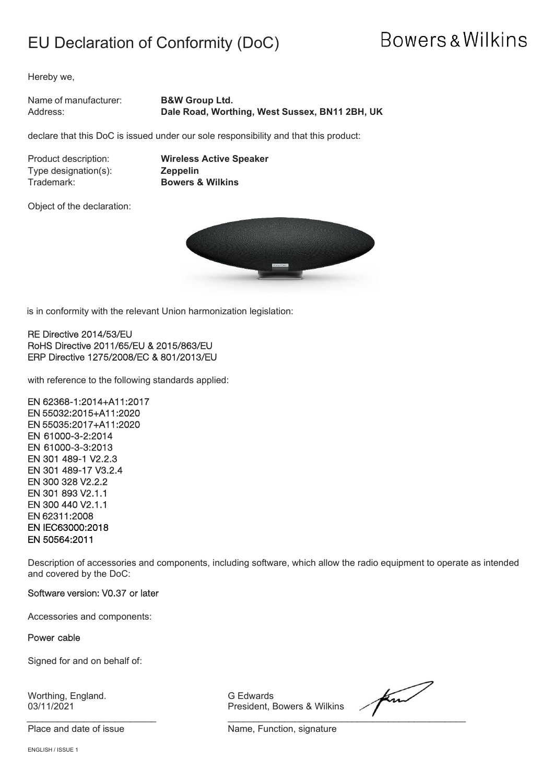### EU Declaration of Conformity (DoC)

## **Bowers & Wilkins**

Hereby we,

Name of manufacturer: **B&W Group Ltd.** Address: **Dale Road, Worthing, West Sussex, BN11 2BH, UK**

declare that this DoC is issued under our sole responsibility and that this product:

Type designation(s):<br>Trademark:

Product description: **Wireless Active Speaker Bowers & Wilkins** 

Object of the declaration:



is in conformity with the relevant Union harmonization legislation:

#### RE Directive 2014/53/EU RoHS Directive 2011/65/EU & 2015/863/EU ERP Directive 1275/2008/EC & 801/2013/EU

with reference to the following standards applied:

EN 62368-1:2014+A11:2017 EN 55032:2015+A11:2020 EN 55035:2017+A11:2020 EN 61000-3-2:2014 EN 61000-3-3:2013 EN 301 489-1 V2.2.3 EN 301 489-17 V3.2.4 EN 300 328 V2.2.2 EN 301 893 V2.1.1 EN 300 440 V2.1.1 EN 62311:2008 EN IEC63000:2018 EN 50564:2011

Description of accessories and components, including software, which allow the radio equipment to operate as intended and covered by the DoC:

#### Software version: V0.37 or later

Accessories and components:

Power cable

Signed for and on behalf of:

Worthing, England. G Edwards

President, Bowers & Wilkins

find \_\_\_\_\_\_\_\_\_\_\_\_\_\_\_\_\_\_\_\_\_\_\_\_\_ \_\_\_\_\_\_\_\_\_\_\_\_\_\_\_\_\_\_\_\_\_\_\_\_\_\_\_\_\_\_\_\_\_\_\_\_\_\_\_\_\_\_\_\_\_\_

Place and date of issue Name, Function, signature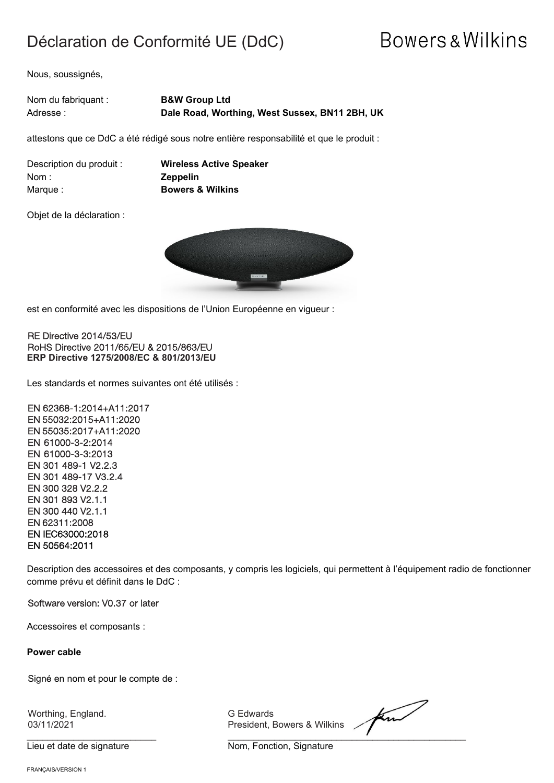### Déclaration de Conformité UE (DdC)

## **Bowers & Wilkins**

Nous, soussignés,

| Nom du fabriquant : | <b>B&amp;W Group Ltd</b>                       |
|---------------------|------------------------------------------------|
| Adresse :           | Dale Road, Worthing, West Sussex, BN11 2BH, UK |

attestons que ce DdC a été rédigé sous notre entière responsabilité et que le produit :

| Description du produit : |  |
|--------------------------|--|
| Nom :                    |  |
| Marque :                 |  |

**Wireless Active Speaker** Nom : **Zeppelin Bowers & Wilkins** 

Objet de la déclaration :



est en conformité avec les dispositions de l'Union Européenne en vigueur :

RE Directive 2014/53/EU RoHS Directive 2011/65/EU & 2015/863/EU **ERP Directive 1275/2008/EC & 801/2013/EU**

Les standards et normes suivantes ont été utilisés :

EN 62368-1:2014+A11:2017 EN 55032:2015+A11:2020 EN 55035:2017+A11:2020 EN 61000-3-2:2014 EN 61000-3-3:2013 EN 301 489-1 V2.2.3 EN 301 489-17 V3.2.4 EN 300 328 V2.2.2 EN 301 893 V2.1.1 EN 300 440 V2.1.1 EN 62311:2008 EN IEC63000:2018 EN 50564:2011

Description des accessoires et des composants, y compris les logiciels, qui permettent à l'équipement radio de fonctionner comme prévu et définit dans le DdC :

Software version: V0.37 or later

Accessoires et composants :

**Power cable**

Signé en nom et pour le compte de :

Worthing, England. G Edwards

03/11/2021 President, Bowers & Wilkins

find \_\_\_\_\_\_\_\_\_\_\_\_\_\_\_\_\_\_\_\_\_\_\_\_\_ \_\_\_\_\_\_\_\_\_\_\_\_\_\_\_\_\_\_\_\_\_\_\_\_\_\_\_\_\_\_\_\_\_\_\_\_\_\_\_\_\_\_\_\_\_\_

Lieu et date de signature **Nom**, Fonction, Signature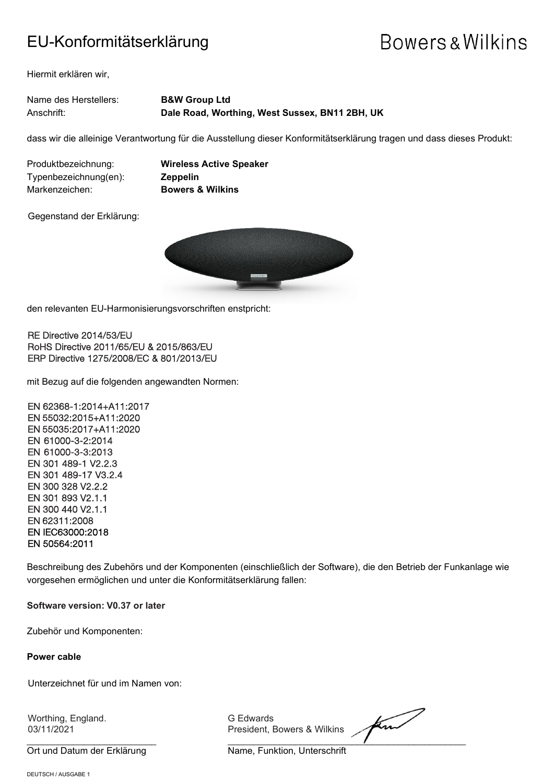### EU-Konformitätserklärung

# **Bowers & Wilkins**

Hiermit erklären wir,

| Name des Herstellers: | <b>B&amp;W Group Ltd</b>                       |
|-----------------------|------------------------------------------------|
| Anschrift:            | Dale Road, Worthing, West Sussex, BN11 2BH, UK |

dass wir die alleinige Verantwortung für die Ausstellung dieser Konformitätserklärung tragen und dass dieses Produkt:

Typenbezeichnung(en): **Zeppelin** Markenzeichen: **Bowers & Wilkins**

Produktbezeichnung: **Wireless Active Speaker**

Gegenstand der Erklärung:



den relevanten EU-Harmonisierungsvorschriften enstpricht:

RE Directive 2014/53/EU RoHS Directive 2011/65/EU & 2015/863/EU ERP Directive 1275/2008/EC & 801/2013/EU

mit Bezug auf die folgenden angewandten Normen:

EN 62368-1:2014+A11:2017 EN 55032:2015+A11:2020 EN 55035:2017+A11:2020 EN 61000-3-2:2014 EN 61000-3-3:2013 EN 301 489-1 V2.2.3 EN 301 489-17 V3.2.4 EN 300 328 V2.2.2 EN 301 893 V2.1.1 EN 300 440 V2.1.1 EN 62311:2008 EN IEC63000:2018 EN 50564:2011

Beschreibung des Zubehörs und der Komponenten (einschließlich der Software), die den Betrieb der Funkanlage wie vorgesehen ermöglichen und unter die Konformitätserklärung fallen:

**Software version: V0.37 or later**

Zubehör und Komponenten:

#### **Power cable**

Unterzeichnet für und im Namen von:

Worthing, England. G Edwards

President, Bowers & Wilkins

find  $\overline{\phantom{a}}$  , and the set of the set of the set of the set of the set of the set of the set of the set of the set of the set of the set of the set of the set of the set of the set of the set of the set of the set of the s

Ort und Datum der Erklärung Name, Funktion, Unterschrift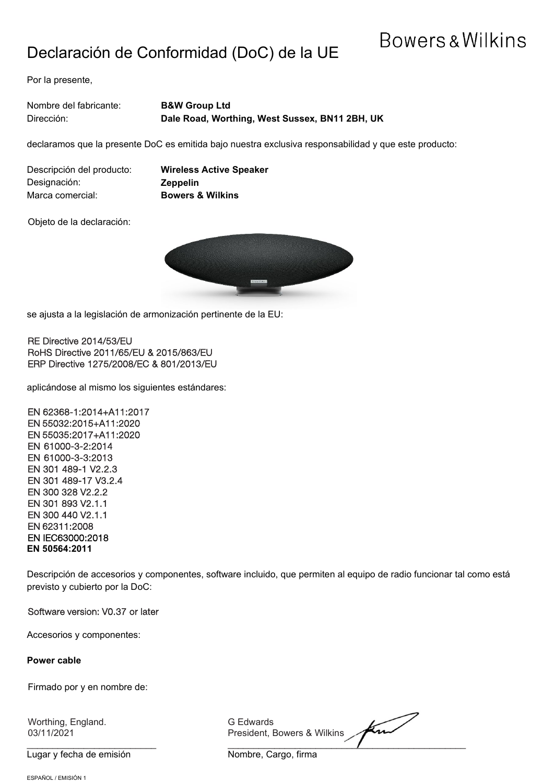### Declaración de Conformidad (DoC) de la UE

### **Bowers & Wilkins**

Por la presente,

| Nombre del fabricante: | <b>B&amp;W Group Ltd</b>                       |
|------------------------|------------------------------------------------|
| Dirección:             | Dale Road, Worthing, West Sussex, BN11 2BH, UK |

declaramos que la presente DoC es emitida bajo nuestra exclusiva responsabilidad y que este producto:

| Descripción del producto: |
|---------------------------|
| Designación:              |
| Marca comercial:          |

**Wireless Active Speaker** Designación: **Zeppelin Bowers & Wilkins** 

Objeto de la declaración:



se ajusta a la legislación de armonización pertinente de la EU:

RE Directive 2014/53/EU RoHS Directive 2011/65/EU & 2015/863/EU ERP Directive 1275/2008/EC & 801/2013/EU

aplicándose al mismo los siguientes estándares:

EN 62368-1:2014+A11:2017 EN 55032:2015+A11:2020 EN 55035:2017+A11:2020 EN 61000-3-2:2014 EN 61000-3-3:2013 EN 301 489-1 V2.2.3 EN 301 489-17 V3.2.4 EN 300 328 V2.2.2 EN 301 893 V2.1.1 EN 300 440 V2.1.1 EN 62311:2008 EN IEC63000:2018 **EN 50564:2011**

Descripción de accesorios y componentes, software incluido, que permiten al equipo de radio funcionar tal como está previsto y cubierto por la DoC:

Software version: V0.37 or later

Accesorios y componentes:

#### **Power cable**

Firmado por y en nombre de:

Worthing, England. G Edwards

Lugar y fecha de emisión Nombre, Cargo, firma

find 03/11/2021 President, Bowers & Wilkins

 $\overline{\phantom{a}}$  , and the set of the set of the set of the set of the set of the set of the set of the set of the set of the set of the set of the set of the set of the set of the set of the set of the set of the set of the s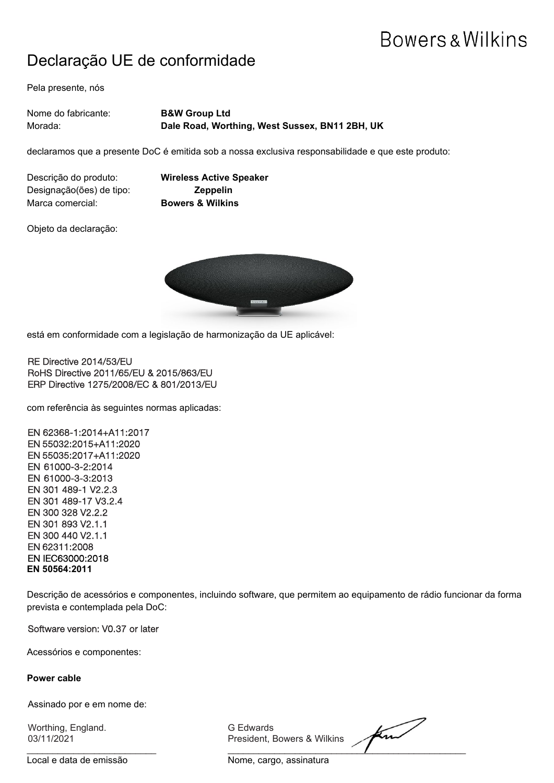### Declaração UE de conformidade

Pela presente, nós

| Nome do fabricante: l | <b>B&amp;W Group Ltd</b>                       |
|-----------------------|------------------------------------------------|
| Morada:               | Dale Road, Worthing, West Sussex, BN11 2BH, UK |

declaramos que a presente DoC é emitida sob a nossa exclusiva responsabilidade e que este produto:

Descrição do produto: **Wireless Active Speaker** Designação(ões) de tipo: **Zeppelin** Marca comercial: **Bowers & Wilkins**

Objeto da declaração:



está em conformidade com a legislação de harmonização da UE aplicável:

RE Directive 2014/53/EU RoHS Directive 2011/65/EU & 2015/863/EU ERP Directive 1275/2008/EC & 801/2013/EU

com referência às seguintes normas aplicadas:

EN 62368-1:2014+A11:2017 EN 55032:2015+A11:2020 EN 55035:2017+A11:2020 EN 61000-3-2:2014 EN 61000-3-3:2013 EN 301 489-1 V2.2.3 EN 301 489-17 V3.2.4 EN 300 328 V2.2.2 EN 301 893 V2.1.1 EN 300 440 V2.1.1 EN 62311:2008 EN IEC63000:2018 **EN 50564:2011**

Descrição de acessórios e componentes, incluindo software, que permitem ao equipamento de rádio funcionar da forma prevista e contemplada pela DoC:

Software version: V0.37 or later

Acessórios e componentes:

**Power cable**

Assinado por e em nome de:

Worthing, England. G Edwards

Local e data de emissão Nome, cargo, assinatura

President, Bowers & Wilkins

find  $\frac{1}{2}$  ,  $\frac{1}{2}$  ,  $\frac{1}{2}$  ,  $\frac{1}{2}$  ,  $\frac{1}{2}$  ,  $\frac{1}{2}$  ,  $\frac{1}{2}$  ,  $\frac{1}{2}$  ,  $\frac{1}{2}$  ,  $\frac{1}{2}$  ,  $\frac{1}{2}$  ,  $\frac{1}{2}$  ,  $\frac{1}{2}$  ,  $\frac{1}{2}$  ,  $\frac{1}{2}$  ,  $\frac{1}{2}$  ,  $\frac{1}{2}$  ,  $\frac{1}{2}$  ,  $\frac{1$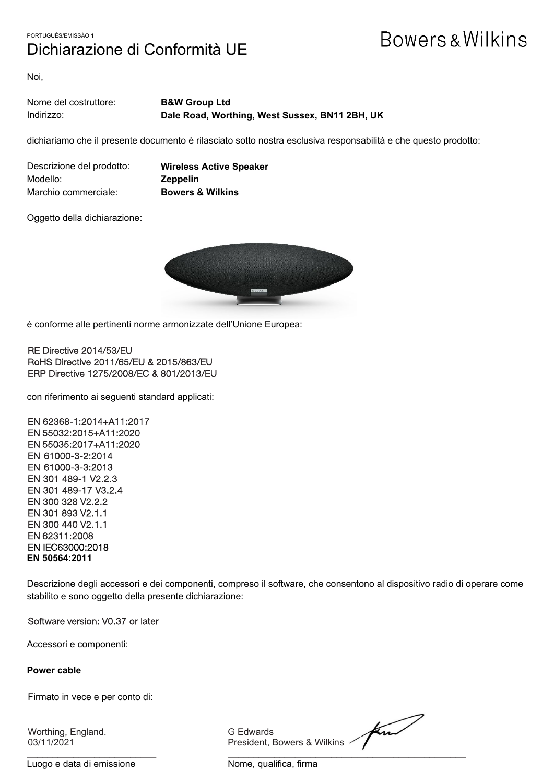### PORTUGUÊS/EMISSÃO 1 Dichiarazione di Conformità UE

## **Bowers & Wilkins**

Noi,

| Nome del costruttore: | <b>B&amp;W Group Ltd</b>                       |
|-----------------------|------------------------------------------------|
| Indirizzo:            | Dale Road, Worthing, West Sussex, BN11 2BH, UK |

dichiariamo che il presente documento è rilasciato sotto nostra esclusiva responsabilità e che questo prodotto:

| Descrizione del prodotto: |  |
|---------------------------|--|
| Modello:                  |  |
| Marchio commerciale:      |  |

**Wireless Active Speaker** Modello: **Zeppelin Bowers & Wilkins** 

Oggetto della dichiarazione:



è conforme alle pertinenti norme armonizzate dell'Unione Europea:

RE Directive 2014/53/EU RoHS Directive 2011/65/EU & 2015/863/EU ERP Directive 1275/2008/EC & 801/2013/EU

con riferimento ai seguenti standard applicati:

EN 62368-1:2014+A11:2017 EN 55032:2015+A11:2020 EN 55035:2017+A11:2020 EN 61000-3-2:2014 EN 61000-3-3:2013 EN 301 489-1 V2.2.3 EN 301 489-17 V3.2.4 EN 300 328 V2.2.2 EN 301 893 V2.1.1 EN 300 440 V2.1.1 EN 62311:2008 EN IEC63000:2018 **EN 50564:2011**

Descrizione degli accessori e dei componenti, compreso il software, che consentono al dispositivo radio di operare come stabilito e sono oggetto della presente dichiarazione:

Software version: V0.37 or later

Accessori e componenti:

**Power cable**

Firmato in vece e per conto di:

Worthing, England. G Edwards

find 03/11/2021 **President, Bowers & Wilkins <a>>** President, Bowers & Wilkins <a>

Luogo e data di emissione Nome, qualifica, firma

\_\_\_\_\_\_\_\_\_\_\_\_\_\_\_\_\_\_\_\_\_\_\_\_\_ \_\_\_\_\_\_\_\_\_\_\_\_\_\_\_\_\_\_\_\_\_\_\_\_\_\_\_\_\_\_\_\_\_\_\_\_\_\_\_\_\_\_\_\_\_\_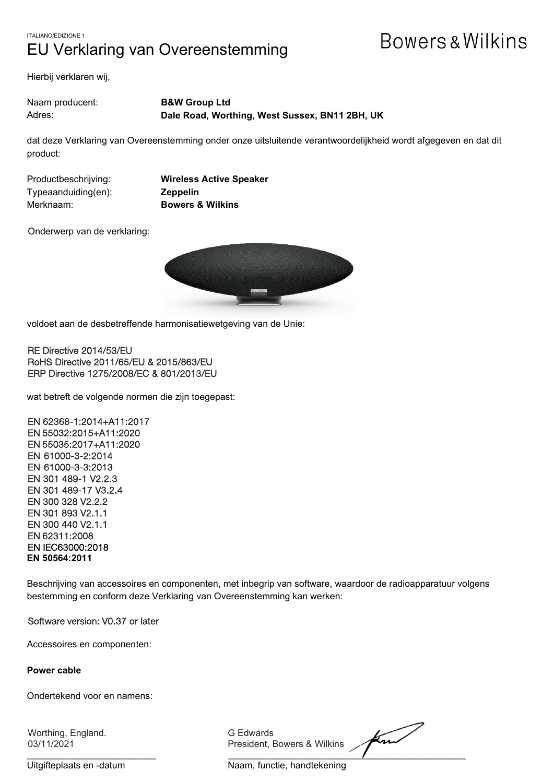### ITALIANO/EDIZIONE 1 EU Verklaring van Overeenstemming

## **Bowers & Wilkins**

Hierbij verklaren wij,

Naam producent: **B&W Group Ltd** Adres: **Dale Road, Worthing, West Sussex, BN11 2BH, UK**

dat deze Verklaring van Overeenstemming onder onze uitsluitende verantwoordelijkheid wordt afgegeven en dat dit product:

Typeaanduiding(en): **Zeppelin** Merknaam: **Bowers & Wilkins**

Productbeschrijving: **Wireless Active Speaker**

Onderwerp van de verklaring:



voldoet aan de desbetreffende harmonisatiewetgeving van de Unie:

RE Directive 2014/53/EU RoHS Directive 2011/65/EU & 2015/863/EU ERP Directive 1275/2008/EC & 801/2013/EU

wat betreft de volgende normen die zijn toegepast:

EN 62368-1:2014+A11:2017 EN 55032:2015+A11:2020 EN 55035:2017+A11:2020 EN 61000-3-2:2014 EN 61000-3-3:2013 EN 301 489-1 V2.2.3 EN 301 489-17 V3.2.4 EN 300 328 V2.2.2 EN 301 893 V2.1.1 EN 300 440 V2.1.1 EN 62311:2008 EN IEC63000:2018 **EN 50564:2011**

Beschrijving van accessoires en componenten, met inbegrip van software, waardoor de radioapparatuur volgens bestemming en conform deze Verklaring van Overeenstemming kan werken:

Software version: V0.37 or later

Accessoires en componenten:

**Power cable**

Ondertekend voor en namens:

Worthing, England. G Edwards

03/11/2021 President, Bowers & Wilkins

Ku  $\overline{\phantom{a}}$  ,  $\overline{\phantom{a}}$  ,  $\overline{\phantom{a}}$  ,  $\overline{\phantom{a}}$  ,  $\overline{\phantom{a}}$  ,  $\overline{\phantom{a}}$  ,  $\overline{\phantom{a}}$  ,  $\overline{\phantom{a}}$  ,  $\overline{\phantom{a}}$  ,  $\overline{\phantom{a}}$  ,  $\overline{\phantom{a}}$  ,  $\overline{\phantom{a}}$  ,  $\overline{\phantom{a}}$  ,  $\overline{\phantom{a}}$  ,  $\overline{\phantom{a}}$  ,  $\overline{\phantom{a}}$ 

Uitgifteplaats en -datum Naam, functie, handtekening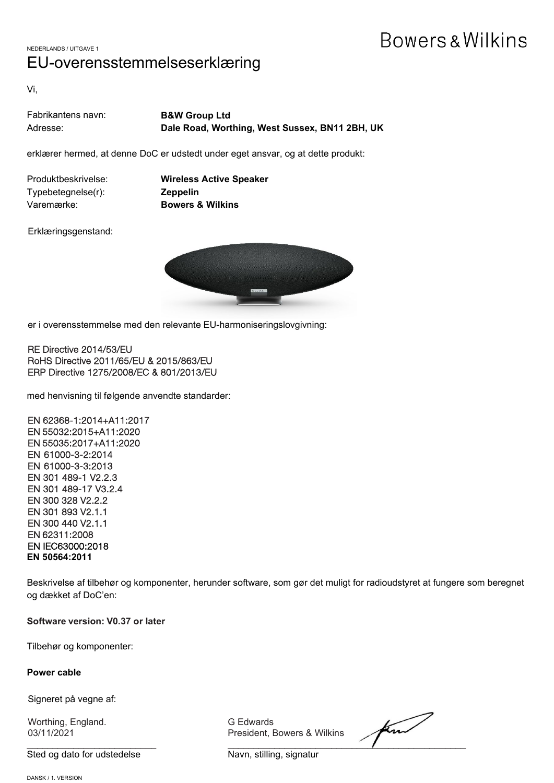NEDERLANDS / UITGAVE 1 EU-overensstemmelseserklæring

Vi,

| Fabrikantens navn: | <b>B&amp;W Group Ltd</b>                       |
|--------------------|------------------------------------------------|
| Adresse:           | Dale Road, Worthing, West Sussex, BN11 2BH, UK |

erklærer hermed, at denne DoC er udstedt under eget ansvar, og at dette produkt:

Typebetegnelse(r): **Zeppelin** Varemærke: **Bowers & Wilkins**

Produktbeskrivelse: **Wireless Active Speaker**

Erklæringsgenstand:



er i overensstemmelse med den relevante EU-harmoniseringslovgivning:

RE Directive 2014/53/EU RoHS Directive 2011/65/EU & 2015/863/EU ERP Directive 1275/2008/EC & 801/2013/EU

med henvisning til følgende anvendte standarder:

EN 62368-1:2014+A11:2017 EN 55032:2015+A11:2020 EN 55035:2017+A11:2020 EN 61000-3-2:2014 EN 61000-3-3:2013 EN 301 489-1 V2.2.3 EN 301 489-17 V3.2.4 EN 300 328 V2.2.2 EN 301 893 V2.1.1 EN 300 440 V2.1.1 EN 62311:2008 EN IEC63000:2018 **EN 50564:2011**

Beskrivelse af tilbehør og komponenter, herunder software, som gør det muligt for radioudstyret at fungere som beregnet og dækket af DoC'en:

**Software version: V0.37 or later**

Tilbehør og komponenter:

**Power cable**

Signeret på vegne af:

Worthing, England. G Edwards

Sted og dato for udstedelse Navn, stilling, signatur

President, Bowers & Wilkins

find  $\overline{\phantom{a}}$  ,  $\overline{\phantom{a}}$  ,  $\overline{\phantom{a}}$  ,  $\overline{\phantom{a}}$  ,  $\overline{\phantom{a}}$  ,  $\overline{\phantom{a}}$  ,  $\overline{\phantom{a}}$  ,  $\overline{\phantom{a}}$  ,  $\overline{\phantom{a}}$  ,  $\overline{\phantom{a}}$  ,  $\overline{\phantom{a}}$  ,  $\overline{\phantom{a}}$  ,  $\overline{\phantom{a}}$  ,  $\overline{\phantom{a}}$  ,  $\overline{\phantom{a}}$  ,  $\overline{\phantom{a}}$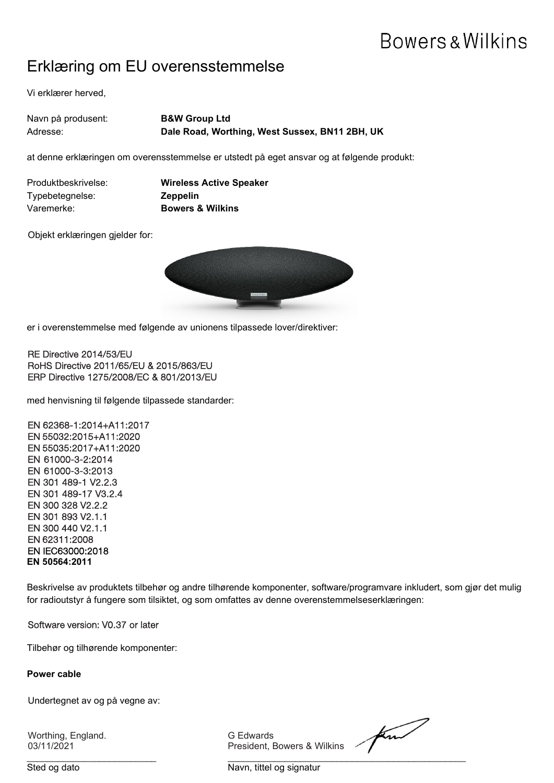### Erklæring om EU overensstemmelse

Vi erklærer herved,

| Navn på produsent: | <b>B&amp;W Group Ltd</b>                       |
|--------------------|------------------------------------------------|
| Adresse:           | Dale Road, Worthing, West Sussex, BN11 2BH, UK |

at denne erklæringen om overensstemmelse er utstedt på eget ansvar og at følgende produkt:

| Produktbeskrivelse: | <b>Wireless Active S</b>    |
|---------------------|-----------------------------|
| Typebetegnelse:     | <b>Zeppelin</b>             |
| Varemerke:          | <b>Bowers &amp; Wilkins</b> |

**Rive Speaker** 

Objekt erklæringen gjelder for:



er i overenstemmelse med følgende av unionens tilpassede lover/direktiver:

RE Directive 2014/53/EU RoHS Directive 2011/65/EU & 2015/863/EU ERP Directive 1275/2008/EC & 801/2013/EU

med henvisning til følgende tilpassede standarder:

EN 62368-1:2014+A11:2017 EN 55032:2015+A11:2020 EN 55035:2017+A11:2020 EN 61000-3-2:2014 EN 61000-3-3:2013 EN 301 489-1 V2.2.3 EN 301 489-17 V3.2.4 EN 300 328 V2.2.2 EN 301 893 V2.1.1 EN 300 440 V2.1.1 EN 62311:2008 EN IEC63000:2018 **EN 50564:2011**

Beskrivelse av produktets tilbehør og andre tilhørende komponenter, software/programvare inkludert, som gjør det mulig for radioutstyr å fungere som tilsiktet, og som omfattes av denne overenstemmelseserklæringen:

Software version: V0.37 or later

Tilbehør og tilhørende komponenter:

**Power cable**

Undertegnet av og på vegne av:

Worthing, England. G Edwards 03/11/2021 **President, Bowers** 

| & Wilkins |  |
|-----------|--|

\_\_\_\_\_\_\_\_\_\_\_\_\_\_\_\_\_\_\_\_\_\_\_\_\_ \_\_\_\_\_\_\_\_\_\_\_\_\_\_\_\_\_\_\_\_\_\_\_\_\_\_\_\_\_\_\_\_\_\_\_\_\_\_\_\_\_\_\_\_\_\_ Sted og dato Navn, tittel og signatur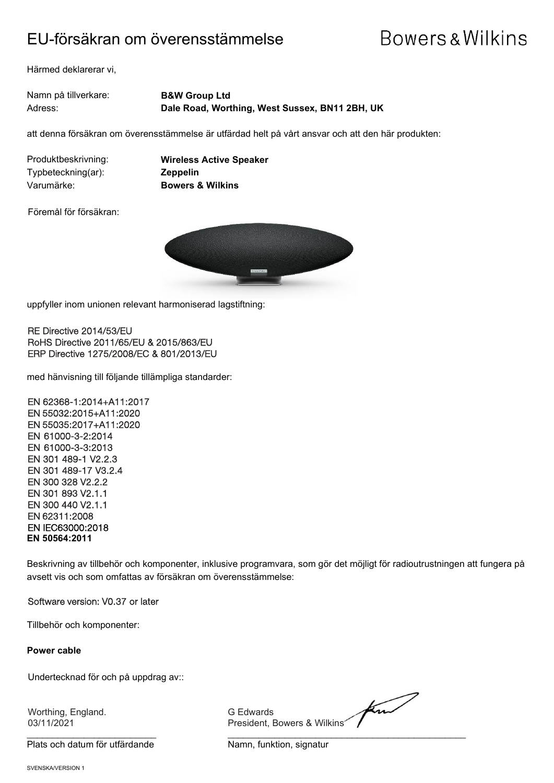### EU-försäkran om överensstämmelse

# Bowers & Wilkins

Härmed deklarerar vi,

Namn på tillverkare: **B&W Group Ltd**

Adress: **Dale Road, Worthing, West Sussex, BN11 2BH, UK**

att denna försäkran om överensstämmelse är utfärdad helt på vårt ansvar och att den här produkten:

Typbeteckning(ar): **Zeppelin** Varumärke: **Bowers & Wilkins**

Produktbeskrivning: **Wireless Active Speaker**

Föremål för försäkran:



uppfyller inom unionen relevant harmoniserad lagstiftning:

RE Directive 2014/53/EU RoHS Directive 2011/65/EU & 2015/863/EU ERP Directive 1275/2008/EC & 801/2013/EU

med hänvisning till följande tillämpliga standarder:

EN 62368-1:2014+A11:2017 EN 55032:2015+A11:2020 EN 55035:2017+A11:2020 EN 61000-3-2:2014 EN 61000-3-3:2013 EN 301 489-1 V2.2.3 EN 301 489-17 V3.2.4 EN 300 328 V2.2.2 EN 301 893 V2.1.1 EN 300 440 V2.1.1 EN 62311:2008 EN IEC63000:2018 **EN 50564:2011**

Beskrivning av tillbehör och komponenter, inklusive programvara, som gör det möjligt för radioutrustningen att fungera på avsett vis och som omfattas av försäkran om överensstämmelse:

Software version: V0.37 or later

Tillbehör och komponenter:

**Power cable**

Undertecknad för och på uppdrag av::

Worthing, England. G Edwards

Plats och datum för utfärdande Namn, funktion, signatur

find 03/11/2021 President, Bowers & Wilkins

 $\frac{1}{2}$  , and the contribution of the contribution of  $\frac{1}{2}$  , and  $\frac{1}{2}$  , and  $\frac{1}{2}$  , and  $\frac{1}{2}$  , and  $\frac{1}{2}$  , and  $\frac{1}{2}$  , and  $\frac{1}{2}$  , and  $\frac{1}{2}$  , and  $\frac{1}{2}$  , and  $\frac{1}{2}$  , and  $\frac{1$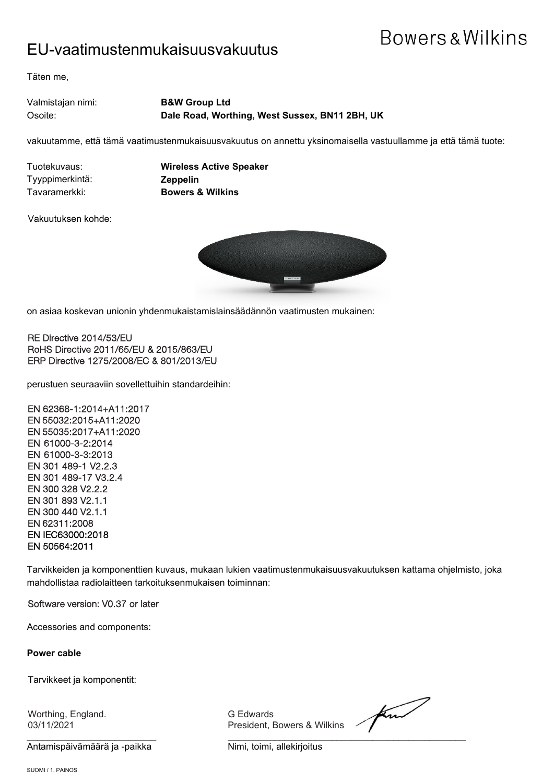### EU-vaatimustenmukaisuusvakuutus

Täten me,

Valmistajan nimi: **B&W Group Ltd** Osoite: **Dale Road, Worthing, West Sussex, BN11 2BH, UK**

vakuutamme, että tämä vaatimustenmukaisuusvakuutus on annettu yksinomaisella vastuullamme ja että tämä tuote:

Tyyppimerkintä: **Zeppelin**

Tuotekuvaus: **Wireless Active Speaker** Tavaramerkki: **Bowers & Wilkins**

Vakuutuksen kohde:



on asiaa koskevan unionin yhdenmukaistamislainsäädännön vaatimusten mukainen:

RE Directive 2014/53/EU RoHS Directive 2011/65/EU & 2015/863/EU ERP Directive 1275/2008/EC & 801/2013/EU

perustuen seuraaviin sovellettuihin standardeihin:

EN 62368-1:2014+A11:2017 EN 55032:2015+A11:2020 EN 55035:2017+A11:2020 EN 61000-3-2:2014 EN 61000-3-3:2013 EN 301 489-1 V2.2.3 EN 301 489-17 V3.2.4 EN 300 328 V2.2.2 EN 301 893 V2.1.1 EN 300 440 V2.1.1 EN 62311:2008 EN IEC63000:2018 EN 50564:2011

Tarvikkeiden ja komponenttien kuvaus, mukaan lukien vaatimustenmukaisuusvakuutuksen kattama ohjelmisto, joka mahdollistaa radiolaitteen tarkoituksenmukaisen toiminnan:

Software version: V0.37 or later

Accessories and components:

**Power cable**

Tarvikkeet ja komponentit:

Worthing, England. G Edwards

Antamispäivämäärä ja -paikka Nimi, toimi, allekirjoitus

03/11/2021 President, Bowers & Wilkins

find \_\_\_\_\_\_\_\_\_\_\_\_\_\_\_\_\_\_\_\_\_\_\_\_\_ \_\_\_\_\_\_\_\_\_\_\_\_\_\_\_\_\_\_\_\_\_\_\_\_\_\_\_\_\_\_\_\_\_\_\_\_\_\_\_\_\_\_\_\_\_\_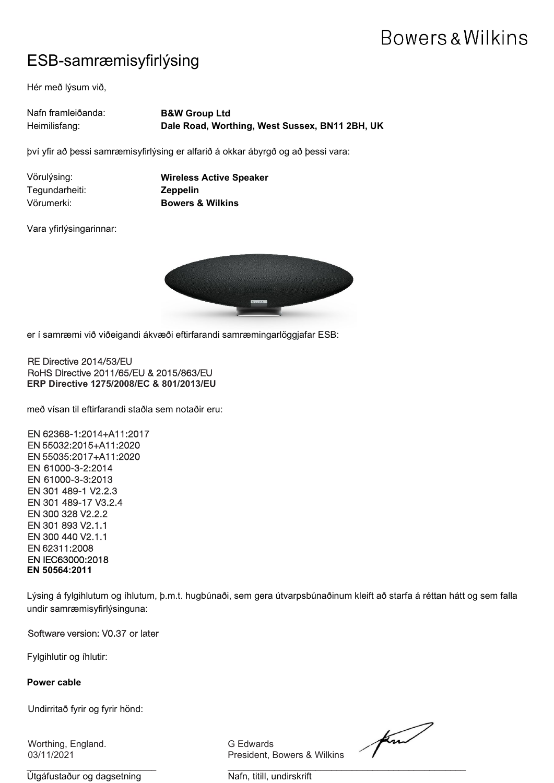### ESB-samræmisyfirlýsing

Hér með lýsum við,

| Nafn framleiðanda: | <b>B&amp;W Group Ltd</b>                       |
|--------------------|------------------------------------------------|
| Heimilisfang:      | Dale Road, Worthing, West Sussex, BN11 2BH, UK |

því yfir að þessi samræmisyfirlýsing er alfarið á okkar ábyrgð og að þessi vara:

| Vörulýsing:    | <b>Wireless</b> |
|----------------|-----------------|
| Tegundarheiti: | <b>Zeppelin</b> |
| Vörumerki:     | <b>Bowers</b>   |

**s Active Speaker**  $&$  Wilkins

Vara yfirlýsingarinnar:



er í samræmi við viðeigandi ákvæði eftirfarandi samræmingarlöggjafar ESB:

RE Directive 2014/53/EU RoHS Directive 2011/65/EU & 2015/863/EU **ERP Directive 1275/2008/EC & 801/2013/EU**

með vísan til eftirfarandi staðla sem notaðir eru:

EN 62368-1:2014+A11:2017 EN 55032:2015+A11:2020 EN 55035:2017+A11:2020 EN 61000-3-2:2014 EN 61000-3-3:2013 EN 301 489-1 V2.2.3 EN 301 489-17 V3.2.4 EN 300 328 V2.2.2 EN 301 893 V2.1.1 EN 300 440 V2.1.1 EN 62311:2008 EN IEC63000:2018 **EN 50564:2011**

Lýsing á fylgihlutum og íhlutum, þ.m.t. hugbúnaði, sem gera útvarpsbúnaðinum kleift að starfa á réttan hátt og sem falla undir samræmisyfirlýsinguna:

Software version: V0.37 or later

Fylgihlutir og íhlutir:

#### **Power cable**

Undirritað fyrir og fyrir hönd:

Worthing, England. G Edwards

 $\frac{1}{2}$  , and the set of the set of the set of the set of the set of the set of the set of the set of the set of the set of the set of the set of the set of the set of the set of the set of the set of the set of the set Útgáfustaður og dagsetning var annar Nafn, titill, undirskrift

President, Bowers & Wilkins

find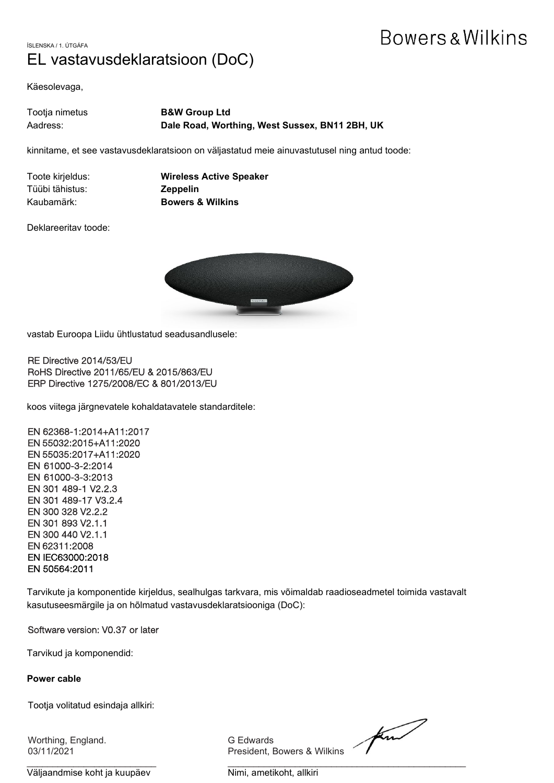ÍSLENSKA / 1. ÚTGÁFA EL vastavusdeklaratsioon (DoC)

Käesolevaga,

| Tootja nimetus | <b>B&amp;W Group Ltd</b>                       |
|----------------|------------------------------------------------|
| Aadress:       | Dale Road, Worthing, West Sussex, BN11 2BH, UK |

kinnitame, et see vastavusdeklaratsioon on väljastatud meie ainuvastutusel ning antud toode:

| Toote kirjeldus: | Wireless        |
|------------------|-----------------|
| Tüübi tähistus:  | <b>Zeppelin</b> |
| Kaubamärk:       | <b>Bowers</b>   |

**Iess Active Speaker ers & Wilkins** 

Deklareeritav toode:



vastab Euroopa Liidu ühtlustatud seadusandlusele:

RE Directive 2014/53/EU RoHS Directive 2011/65/EU & 2015/863/EU ERP Directive 1275/2008/EC & 801/2013/EU

koos viitega järgnevatele kohaldatavatele standarditele:

EN 62368-1:2014+A11:2017 EN 55032:2015+A11:2020 EN 55035:2017+A11:2020 EN 61000-3-2:2014 EN 61000-3-3:2013 EN 301 489-1 V2.2.3 EN 301 489-17 V3.2.4 EN 300 328 V2.2.2 EN 301 893 V2.1.1 EN 300 440 V2.1.1 EN 62311:2008 EN IEC63000:2018 EN 50564:2011

Tarvikute ja komponentide kirjeldus, sealhulgas tarkvara, mis võimaldab raadioseadmetel toimida vastavalt kasutuseesmärgile ja on hõlmatud vastavusdeklaratsiooniga (DoC):

Software version: V0.37 or later

Tarvikud ja komponendid:

#### **Power cable**

Tootja volitatud esindaja allkiri:

Worthing, England. G Edwards

 $\frac{1}{2}$  , and the contribution of the contribution of  $\frac{1}{2}$  , and  $\frac{1}{2}$  , and  $\frac{1}{2}$  , and  $\frac{1}{2}$  , and  $\frac{1}{2}$  , and  $\frac{1}{2}$  , and  $\frac{1}{2}$  , and  $\frac{1}{2}$  , and  $\frac{1}{2}$  , and  $\frac{1}{2}$  , and  $\frac{1$ Väljaandmise koht ja kuupäev Nimi, ametikoht, allkiri

03/11/2021 President, Bowers & Wilkins

find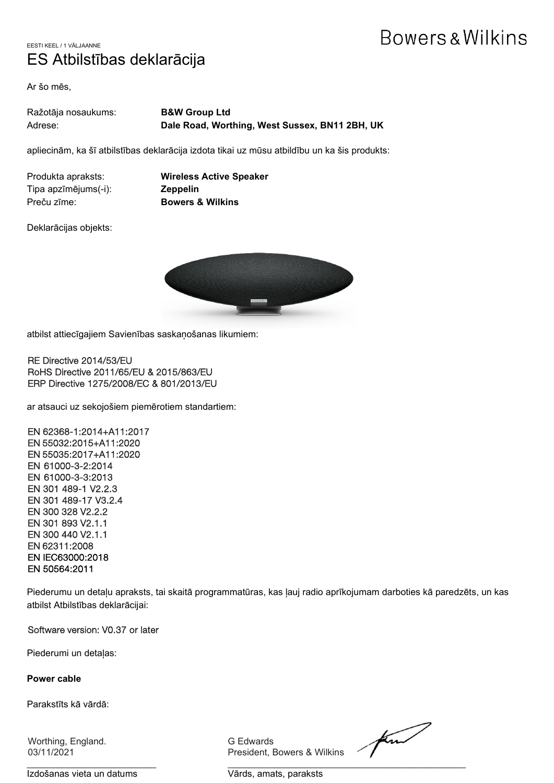### EESTI KEEL / 1 VÄLJAANNE ES Atbilstības deklarācija

Ar šo mēs,

| Ražotāja nosaukums: | <b>B&amp;W Group Ltd</b>                       |
|---------------------|------------------------------------------------|
| Adrese:             | Dale Road, Worthing, West Sussex, BN11 2BH, UK |

apliecinām, ka šī atbilstības deklarācija izdota tikai uz mūsu atbildību un ka šis produkts:

Tipa apzīmējums(-i): **Zeppelin** Preču zīme: **Bowers & Wilkins**

Produkta apraksts: **Wireless Active Speaker**

Deklarācijas objekts:



atbilst attiecīgajiem Savienības saskaņošanas likumiem:

RE Directive 2014/53/EU RoHS Directive 2011/65/EU & 2015/863/EU ERP Directive 1275/2008/EC & 801/2013/EU

ar atsauci uz sekojošiem piemērotiem standartiem:

EN 62368-1:2014+A11:2017 EN 55032:2015+A11:2020 EN 55035:2017+A11:2020 EN 61000-3-2:2014 EN 61000-3-3:2013 EN 301 489-1 V2.2.3 EN 301 489-17 V3.2.4 EN 300 328 V2.2.2 EN 301 893 V2.1.1 EN 300 440 V2.1.1 EN 62311:2008 EN IEC63000:2018 EN 50564:2011

Piederumu un detaļu apraksts, tai skaitā programmatūras, kas ļauj radio aprīkojumam darboties kā paredzēts, un kas atbilst Atbilstības deklarācijai:

Software version: V0.37 or later

Piederumi un detaļas:

**Power cable**

Parakstīts kā vārdā:

Worthing, England. G Edwards

Izdošanas vieta un datums varias varias, paraksts

President, Bowers & Wilkins

find

 $\frac{1}{2}$  , and the set of the set of the set of the set of the set of the set of the set of the set of the set of the set of the set of the set of the set of the set of the set of the set of the set of the set of the set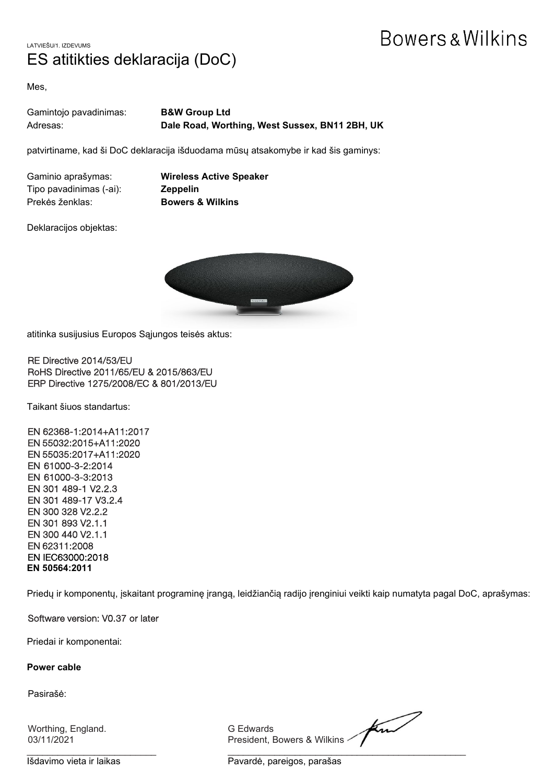LATVIEŠU/1. IZDEVUMS ES atitikties deklaracija (DoC)

Mes,

| Gamintojo pavadinimas: | <b>B&amp;W Group Ltd</b>                       |
|------------------------|------------------------------------------------|
| Adresas:               | Dale Road, Worthing, West Sussex, BN11 2BH, UK |

patvirtiname, kad ši DoC deklaracija išduodama mūsų atsakomybe ir kad šis gaminys:

Tipo pavadinimas (-ai): **Zeppelin** Prekės ženklas: **Bowers & Wilkins**

Gaminio aprašymas: **Wireless Active Speaker**

Deklaracijos objektas:



atitinka susijusius Europos Sąjungos teisės aktus:

RE Directive 2014/53/EU RoHS Directive 2011/65/EU & 2015/863/EU ERP Directive 1275/2008/EC & 801/2013/EU

Taikant šiuos standartus:

EN 62368-1:2014+A11:2017 EN 55032:2015+A11:2020 EN 55035:2017+A11:2020 EN 61000-3-2:2014 EN 61000-3-3:2013 EN 301 489-1 V2.2.3 EN 301 489-17 V3.2.4 EN 300 328 V2.2.2 EN 301 893 V2.1.1 EN 300 440 V2.1.1 EN 62311:2008 EN IEC63000:2018 **EN 50564:2011**

Priedų ir komponentų, įskaitant programinę įrangą, leidžiančią radijo įrenginiui veikti kaip numatyta pagal DoC, aprašymas:

#### Software version: V0.37 or later

Priedai ir komponentai:

#### **Power cable**

Pasirašė:

| G Edwards<br>President, Bowers & Wilkins<br>03/11/2021 | Worthing, England. |  |
|--------------------------------------------------------|--------------------|--|
|--------------------------------------------------------|--------------------|--|

Išdavimo vieta ir laikas **Pavardė, pareigos, parašas**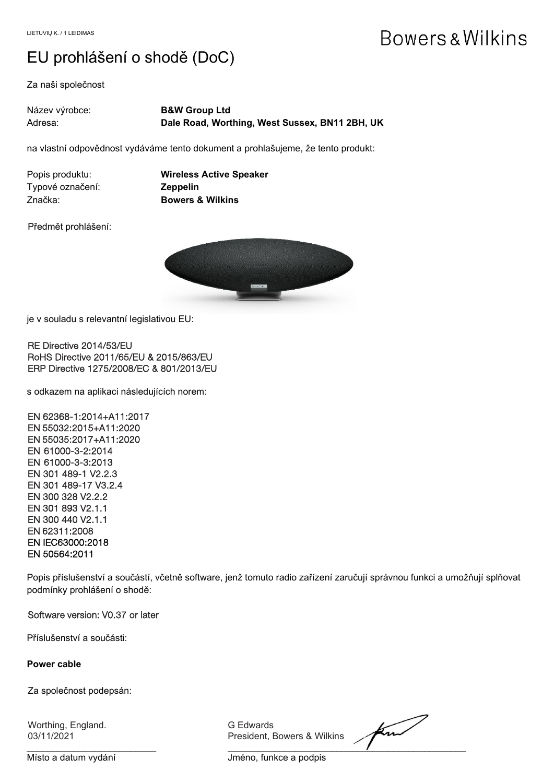### EU prohlášení o shodě (DoC)

Za naši společnost

| Název výrobce: | <b>B&amp;W Group Ltd</b>                       |
|----------------|------------------------------------------------|
| Adresa:        | Dale Road, Worthing, West Sussex, BN11 2BH, UK |

na vlastní odpovědnost vydáváme tento dokument a prohlašujeme, že tento produkt:

| Popis produktu:  | <b>Wireless Active S</b>    |
|------------------|-----------------------------|
| Typové označení: | <b>Zeppelin</b>             |
| -Značka:         | <b>Bowers &amp; Wilkins</b> |

**Rive Speaker** 

Předmět prohlášení:



 $\overline{a}$ je v souladu s relevantní legislativou EU:

RE Directive 2014/53/EU RoHS Directive 2011/65/EU & 2015/863/EU ERP Directive 1275/2008/EC & 801/2013/EU

s odkazem na aplikaci následujících norem:

EN 62368-1:2014+A11:2017 EN 55032:2015+A11:2020 EN 55035:2017+A11:2020 EN 61000-3-2:2014 EN 61000-3-3:2013 EN 301 489-1 V2.2.3 EN 301 489-17 V3.2.4 EN 300 328 V2.2.2 EN 301 893 V2.1.1 EN 300 440 V2.1.1 EN 62311:2008 EN IEC63000:2018 EN 50564:2011

Popis příslušenství a součástí, včetně software, jenž tomuto radio zařízení zaručují správnou funkci a umožňují splňovat podmínky prohlášení o shodě:

#### Software version: V0.37 or later

Příslušenství a součásti:

#### **Power cable**

Za společnost podepsán:

Worthing, England. G Edwards

03/11/2021 President, Bowers & Wilkins

find  $\overline{\phantom{a}}$  , and the set of the set of the set of the set of the set of the set of the set of the set of the set of the set of the set of the set of the set of the set of the set of the set of the set of the set of the s

Místo a datum vydání **Volume a Theorie Alexandrico a Theorie Alexandrico Alexandrico Alexandrico Alexandrico A**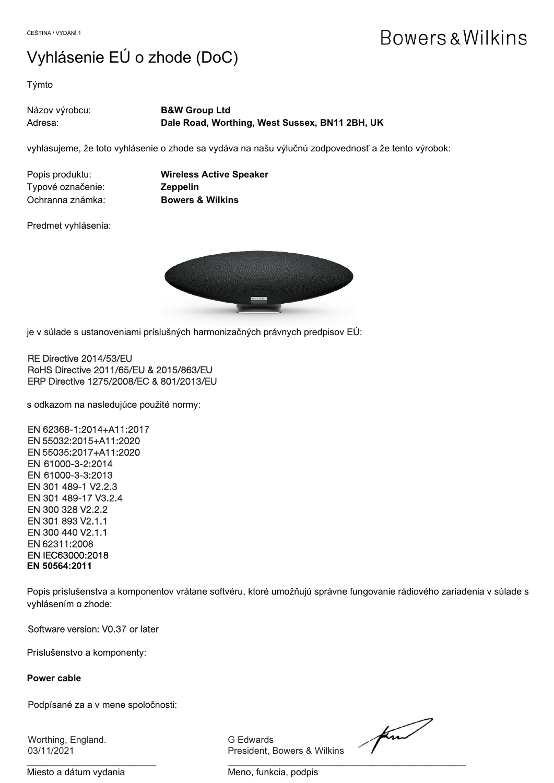### Vyhlásenie EÚ o zhode (DoC)

Týmto

| Názov výrobcu: | <b>B&amp;W Group Ltd</b>                       |
|----------------|------------------------------------------------|
| Adresa:        | Dale Road, Worthing, West Sussex, BN11 2BH, UK |

vyhlasujeme, že toto vyhlásenie o zhode sa vydáva na našu výlučnú zodpovednosť a že tento výrobok:

| Popis produktu:   |  |
|-------------------|--|
| Typové označenie: |  |
| Ochranna známka:  |  |

**Wireless Active Speaker Zeppelin Bowers & Wilkins** 

Predmet vyhlásenia:



 $\overline{a}$ je v súlade s ustanoveniami príslušných harmonizačných právnych predpisov EÚ:

RE Directive 2014/53/EU RoHS Directive 2011/65/EU & 2015/863/EU ERP Directive 1275/2008/EC & 801/2013/EU

s odkazom na nasledujúce použité normy:

EN 62368-1:2014+A11:2017 EN 55032:2015+A11:2020 EN 55035:2017+A11:2020 EN 61000-3-2:2014 EN 61000-3-3:2013 EN 301 489-1 V2.2.3 EN 301 489-17 V3.2.4 EN 300 328 V2.2.2 EN 301 893 V2.1.1 EN 300 440 V2.1.1 EN 62311:2008 EN IEC63000:2018 **EN 50564:2011**

Popis príslušenstva a komponentov vrátane softvéru, ktoré umožňujú správne fungovanie rádiového zariadenia v súlade s vyhlásením o zhode:

Software version: V0.37 or later

Príslušenstvo a komponenty:

#### **Power cable**

Podpísané za a v mene spoločnosti:

Worthing, England. G Edwards

President, Bowers & Wilkins

find

Miesto a dátum vydania metalair metal Meno, funkcia, podpis

 $\frac{1}{2}$  , and the contribution of the contribution of  $\frac{1}{2}$  , and  $\frac{1}{2}$  , and  $\frac{1}{2}$  , and  $\frac{1}{2}$  , and  $\frac{1}{2}$  , and  $\frac{1}{2}$  , and  $\frac{1}{2}$  , and  $\frac{1}{2}$  , and  $\frac{1}{2}$  , and  $\frac{1}{2}$  , and  $\frac{1$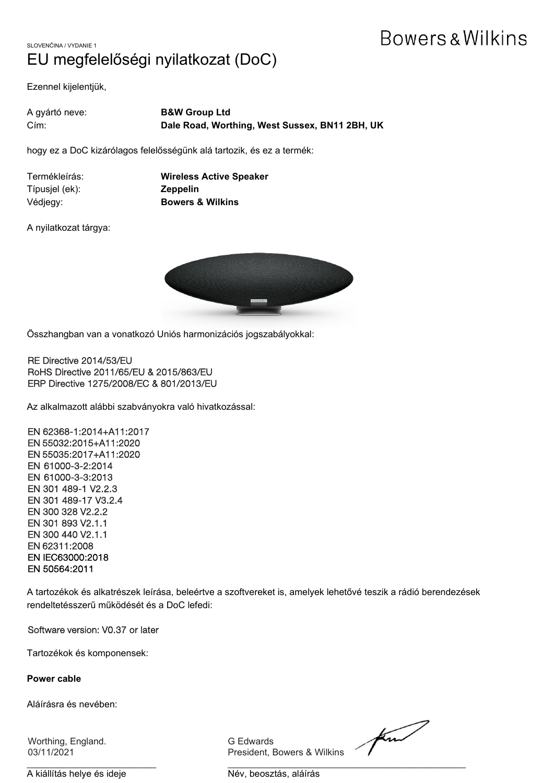### SLOVENČINA / VYDANIE 1 EU megfelelőségi nyilatkozat (DoC)

Ezennel kijelentjük,

| A gyártó neve:  | <b>B&amp;W Group Ltd</b>                       |
|-----------------|------------------------------------------------|
| $C$ <i>im</i> : | Dale Road, Worthing, West Sussex, BN11 2BH, UK |

hogy ez a DoC kizárólagos felelősségünk alá tartozik, és ez a termék:

| Termékleírás:  | <b>Wireless Active Speaker</b> |
|----------------|--------------------------------|
| Típusjel (ek): | <b>Zeppelin</b>                |
| Védjegy:       | <b>Bowers &amp; Wilkins</b>    |

A nyilatkozat tárgya:



 $\overline{a}$ Összhangban van a vonatkozó Uniós harmonizációs jogszabályokkal:

RE Directive 2014/53/EU RoHS Directive 2011/65/EU & 2015/863/EU ERP Directive 1275/2008/EC & 801/2013/EU

Az alkalmazott alábbi szabványokra való hivatkozással:

EN 62368-1:2014+A11:2017 EN 55032:2015+A11:2020 EN 55035:2017+A11:2020 EN 61000-3-2:2014 EN 61000-3-3:2013 EN 301 489-1 V2.2.3 EN 301 489-17 V3.2.4 EN 300 328 V2.2.2 EN 301 893 V2.1.1 EN 300 440 V2.1.1 EN 62311:2008 EN IEC63000:2018 EN 50564:2011

A tartozékok és alkatrészek leírása, beleértve a szoftvereket is, amelyek lehetővé teszik a rádió berendezések rendeltetésszerű működését és a DoC lefedi:

Software version: V0.37 or later

Tartozékok és komponensek:

**Power cable**

Aláírásra és nevében:

Worthing, England. G Edwards

President, Bowers & Wilkins

find

A kiállítás helye és ideje **Név**, beosztás, aláírás

\_\_\_\_\_\_\_\_\_\_\_\_\_\_\_\_\_\_\_\_\_\_\_\_\_ \_\_\_\_\_\_\_\_\_\_\_\_\_\_\_\_\_\_\_\_\_\_\_\_\_\_\_\_\_\_\_\_\_\_\_\_\_\_\_\_\_\_\_\_\_\_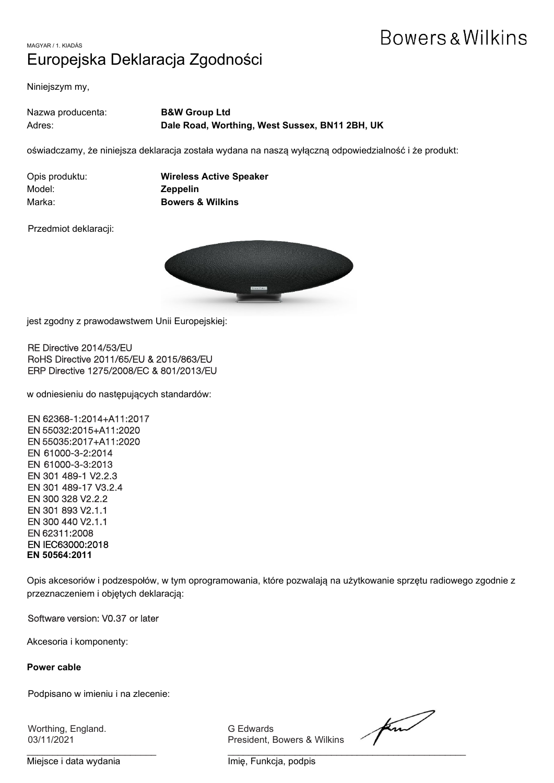### MAGYAR / 1. KIADÁS Europejska Deklaracja Zgodności

Niniejszym my,

| Nazwa producenta: | <b>B&amp;W Group Ltd</b>                       |
|-------------------|------------------------------------------------|
| Adres:            | Dale Road, Worthing, West Sussex, BN11 2BH, UK |

oświadczamy, że niniejsza deklaracja została wydana na naszą wyłączną odpowiedzialność i że produkt:

| Opis produktu: | <b>Wireless Active Speaker</b> |
|----------------|--------------------------------|
| Model:         | <b>Zeppelin</b>                |
| Marka:         | <b>Bowers &amp; Wilkins</b>    |

Przedmiot deklaracji:



 $\overline{a}$ jest zgodny z prawodawstwem Unii Europejskiej:

RE Directive 2014/53/EU RoHS Directive 2011/65/EU & 2015/863/EU ERP Directive 1275/2008/EC & 801/2013/EU

w odniesieniu do następujących standardów:

EN 62368-1:2014+A11:2017 EN 55032:2015+A11:2020 EN 55035:2017+A11:2020 EN 61000-3-2:2014 EN 61000-3-3:2013 EN 301 489-1 V2.2.3 EN 301 489-17 V3.2.4 EN 300 328 V2.2.2 EN 301 893 V2.1.1 EN 300 440 V2.1.1 EN 62311:2008 EN IEC63000:2018 **EN 50564:2011**

Opis akcesoriów i podzespołów, w tym oprogramowania, które pozwalają na użytkowanie sprzętu radiowego zgodnie z przeznaczeniem i objętych deklaracją:

#### Software version: V0.37 or later

Akcesoria i komponenty:

#### **Power cable**

Podpisano w imieniu i na zlecenie:

Worthing, England. G Edwards

President, Bowers & Wilkins

find

 $\frac{1}{2}$  , and the contribution of the contribution of  $\frac{1}{2}$  , and the contribution of the contribution of the contribution of the contribution of the contribution of the contribution of the contribution of the contr Miejsce i data wydania **Imię, Funkcja, podpis**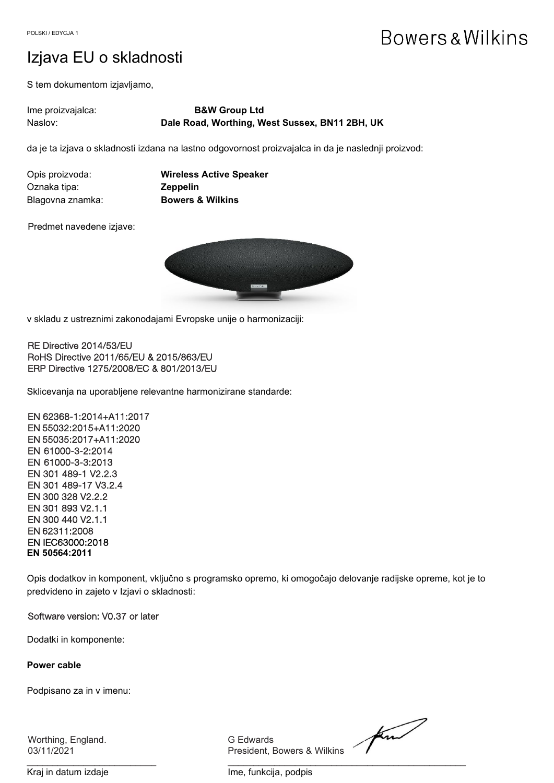### Izjava EU o skladnosti

S tem dokumentom izjavljamo,

| lme proizvajalca: | <b>B&amp;W Group Ltd</b>                       |
|-------------------|------------------------------------------------|
| Naslov:           | Dale Road, Worthing, West Sussex, BN11 2BH, UK |

da je ta izjava o skladnosti izdana na lastno odgovornost proizvajalca in da je naslednji proizvod:

| Opis proizvoda:  | <b>Wireless Active Speaker</b> |
|------------------|--------------------------------|
| Oznaka tipa:     | <b>Zeppelin</b>                |
| Blagovna znamka: | <b>Bowers &amp; Wilkins</b>    |

Predmet navedene izjave:



v skladu z ustreznimi zakonodajami Evropske unije o harmonizaciji:

RE Directive 2014/53/EU RoHS Directive 2011/65/EU & 2015/863/EU ERP Directive 1275/2008/EC & 801/2013/EU

Sklicevanja na uporabljene relevantne harmonizirane standarde:

EN 62368-1:2014+A11:2017 EN 55032:2015+A11:2020 EN 55035:2017+A11:2020 EN 61000-3-2:2014 EN 61000-3-3:2013 EN 301 489-1 V2.2.3 EN 301 489-17 V3.2.4 EN 300 328 V2.2.2 EN 301 893 V2.1.1 EN 300 440 V2.1.1 EN 62311:2008 EN IEC63000:2018 **EN 50564:2011**

Opis dodatkov in komponent, vključno s programsko opremo, ki omogočajo delovanje radijske opreme, kot je to predvideno in zajeto v Izjavi o skladnosti:

#### Software version: V0.37 or later

Dodatki in komponente:

#### **Power cable**

Podpisano za in v imenu:

Worthing, England. G Edwards

President, Bowers & Wilkins

find

 $\frac{1}{2}$  , and the set of the set of the set of the set of the set of the set of the set of the set of the set of the set of the set of the set of the set of the set of the set of the set of the set of the set of the set Kraj in datum izdaje **Ime**, funkcija, podpis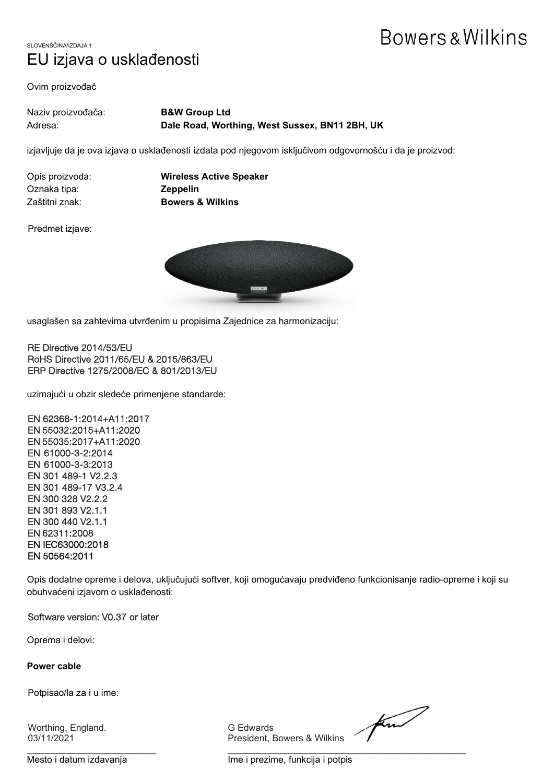SLOVENŠČINA/IZDAJA 1 EU izjava o usklađenosti

Ovim proizvođač

| Naziv proizvođača: | <b>B&amp;W Group Ltd</b>                       |
|--------------------|------------------------------------------------|
| Adresa:            | Dale Road, Worthing, West Sussex, BN11 2BH, UK |

izjavljuje da je ova izjava o usklađenosti izdata pod njegovom isključivom odgovornošću i da je proizvod:

Oznaka tipa: **Zeppelin**

Opis proizvoda: **Wireless Active Speaker** Zaštitni znak: **Bowers & Wilkins**

Predmet izjave:



usaglašen sa zahtevima utvrđenim u propisima Zajednice za harmonizaciju:

RE Directive 2014/53/EU RoHS Directive 2011/65/EU & 2015/863/EU ERP Directive 1275/2008/EC & 801/2013/EU

uzimajući u obzir sledeće primenjene standarde:

EN 62368-1:2014+A11:2017 EN 55032:2015+A11:2020 EN 55035:2017+A11:2020 EN 61000-3-2:2014 EN 61000-3-3:2013 EN 301 489-1 V2.2.3 EN 301 489-17 V3.2.4 EN 300 328 V2.2.2 EN 301 893 V2.1.1 EN 300 440 V2.1.1 EN 62311:2008 EN IEC63000:2018 EN 50564:2011

Opis dodatne opreme i delova, uključujući softver, koji omogućavaju predviđeno funkcionisanje radio-opreme i koji su obuhvaćeni izjavom o usklađenosti:

Software version: V0.37 or later

Oprema i delovi:

#### **Power cable**

Potpisao/la za i u ime:

Worthing, England. G Edwards

03/11/2021 President, Bowers & Wilkins

find

\_\_\_\_\_\_\_\_\_\_\_\_\_\_\_\_\_\_\_\_\_\_\_\_\_ \_\_\_\_\_\_\_\_\_\_\_\_\_\_\_\_\_\_\_\_\_\_\_\_\_\_\_\_\_\_\_\_\_\_\_\_\_\_\_\_\_\_\_\_\_\_ Mesto i datum izdavanja Ime i prezime, funkcija i potpis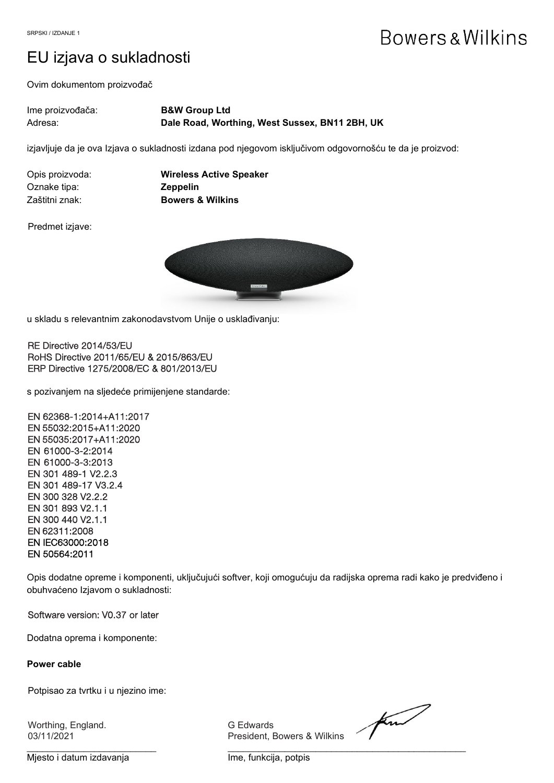### EU izjava o sukladnosti

Ovim dokumentom proizvođač

| Ime proizvođača: | <b>B&amp;W Group Ltd</b>                       |
|------------------|------------------------------------------------|
| Adresa:          | Dale Road, Worthing, West Sussex, BN11 2BH, UK |

izjavljuje da je ova Izjava o sukladnosti izdana pod njegovom isključivom odgovornošću te da je proizvod:

| Opis proizvoda: | <b>Wireless Active Speaker</b> |
|-----------------|--------------------------------|
| Oznake tipa:    | <b>Zeppelin</b>                |
| Zaštitni znak:  | <b>Bowers &amp; Wilkins</b>    |

Predmet izjave:



u skladu s relevantnim zakonodavstvom Unije o usklađivanju:

RE Directive 2014/53/EU RoHS Directive 2011/65/EU & 2015/863/EU ERP Directive 1275/2008/EC & 801/2013/EU

s pozivanjem na sljedeće primijenjene standarde:

EN 62368-1:2014+A11:2017 EN 55032:2015+A11:2020 EN 55035:2017+A11:2020 EN 61000-3-2:2014 EN 61000-3-3:2013 EN 301 489-1 V2.2.3 EN 301 489-17 V3.2.4 EN 300 328 V2.2.2 EN 301 893 V2.1.1 EN 300 440 V2.1.1 EN 62311:2008 EN IEC63000:2018 EN 50564:2011

Opis dodatne opreme i komponenti, uključujući softver, koji omogućuju da radijska oprema radi kako je predviđeno i obuhvaćeno Izjavom o sukladnosti:

#### Software version: V0.37 or later

Dodatna oprema i komponente:

#### **Power cable**

Potpisao za tvrtku i u njezino ime:

Worthing, England. G Edwards

03/11/2021 President, Bowers & Wilkins

find

Mjesto i datum izdavanja **Ime, funkcija**, potpis

 $\frac{1}{2}$  , and the contribution of the contribution of  $\frac{1}{2}$  , and the contribution of the contribution of the contribution of the contribution of the contribution of the contribution of the contribution of the contr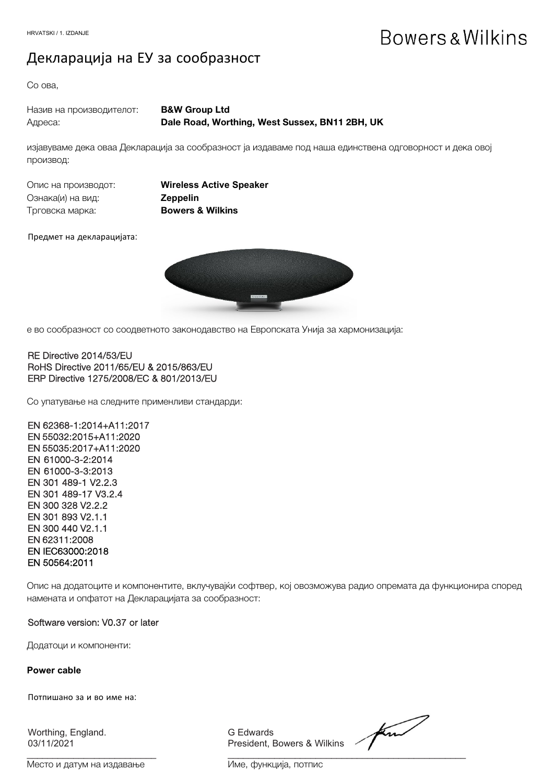### Декларација на ЕУ за сообразност

Со ова,

| Назив на производителот: | <b>B&amp;W Group Ltd</b>                       |
|--------------------------|------------------------------------------------|
| Адреса:                  | Dale Road, Worthing, West Sussex, BN11 2BH, UK |

изјавуваме дека оваа Декларација за сообразност ја издаваме под наша единствена одговорност и дека овој производ:

| Опис на производот: |  |
|---------------------|--|
| Ознака(и) на вид:   |  |
| Трговска марка:     |  |

**Wireless Active Speaker** Ознака(и) на вид: **Zeppelin** Bowers & Wilkins

Предмет на декларацијата:



е во сообразност со соодветното законодавство на Европската Унија за хармонизација:

#### RE Directive 2014/53/EU RoHS Directive 2011/65/EU & 2015/863/EU ERP Directive 1275/2008/EC & 801/2013/EU

Со упатување на следните применливи стандарди:

EN 62368-1:2014+A11:2017 EN 55032:2015+A11:2020 EN 55035:2017+A11:2020 EN 61000-3-2:2014 EN 61000-3-3:2013 EN 301 489-1 V2.2.3 EN 301 489-17 V3.2.4 EN 300 328 V2.2.2 EN 301 893 V2.1.1 EN 300 440 V2.1.1 EN 62311:2008 EN IEC63000:2018 EN 50564:2011

Опис на додатоците и компонентите, вклучувајќи софтвер, кој овозможува радио опремата да функционира според намената и опфатот на Декларацијата за сообразност:

#### Software version: V0.37 or later

Додатоци и компоненти:

#### **Power cable**

Потпишано за и во име на:

Worthing, England. G Edwards

03/11/2021 President, Bowers & Wilkins

Место и датум на издавање Име, функција, потпис

 $\frac{1}{2}$  , and the set of the set of the set of the set of the set of the set of the set of the set of the set of the set of the set of the set of the set of the set of the set of the set of the set of the set of the set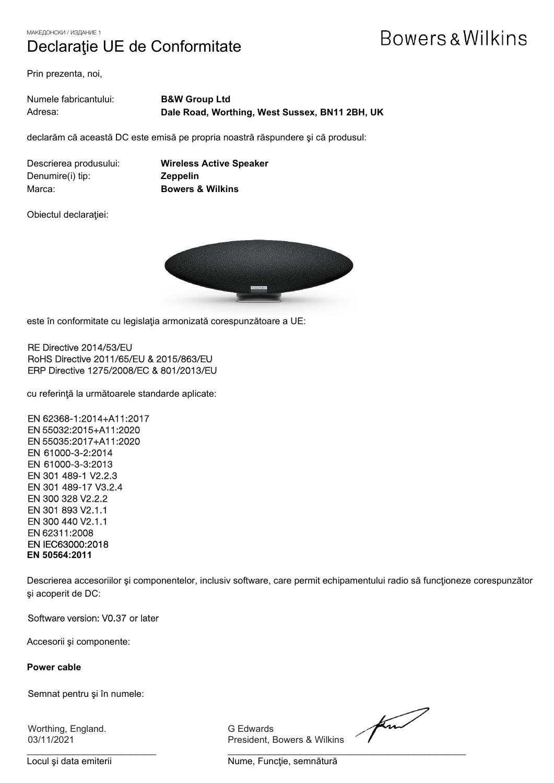МАКЕДОНСКИ / ИЗДАНИЕ 1

### Declaraţie UE de Conformitate

# Bowers & Wilkins

Prin prezenta, noi,

| Numele fabricantului: | <b>B&amp;W Group Ltd</b>                       |
|-----------------------|------------------------------------------------|
| Adresa:               | Dale Road, Worthing, West Sussex, BN11 2BH, UK |

declarăm că această DC este emisă pe propria noastră răspundere şi că produsul:

Denumire(i) tip: **Zeppelin** Marca: **Bowers & Wilkins**

Descrierea produsului: **Wireless Active Speaker**

Obiectul declaraţiei:



este în conformitate cu legislaţia armonizată corespunzătoare a UE:

RE Directive 2014/53/EU RoHS Directive 2011/65/EU & 2015/863/EU ERP Directive 1275/2008/EC & 801/2013/EU

cu referinţă la următoarele standarde aplicate:

EN 62368-1:2014+A11:2017 EN 55032:2015+A11:2020 EN 55035:2017+A11:2020 EN 61000-3-2:2014 EN 61000-3-3:2013 EN 301 489-1 V2.2.3 EN 301 489-17 V3.2.4 EN 300 328 V2.2.2 EN 301 893 V2.1.1 EN 300 440 V2.1.1 EN 62311:2008 EN IEC63000:2018 **EN 50564:2011**

Descrierea accesoriilor şi componentelor, inclusiv software, care permit echipamentului radio să funcţioneze corespunzător şi acoperit de DC:

#### Software version: V0.37 or later

Accesorii şi componente:

#### **Power cable**

Semnat pentru şi în numele:

Worthing, England. G Edwards

President, Bowers & Wilkins

find

 $\frac{1}{2}$  , and the set of the set of the set of the set of the set of the set of the set of the set of the set of the set of the set of the set of the set of the set of the set of the set of the set of the set of the set Locul și data emiterii **Nume, Funcție**, semnătură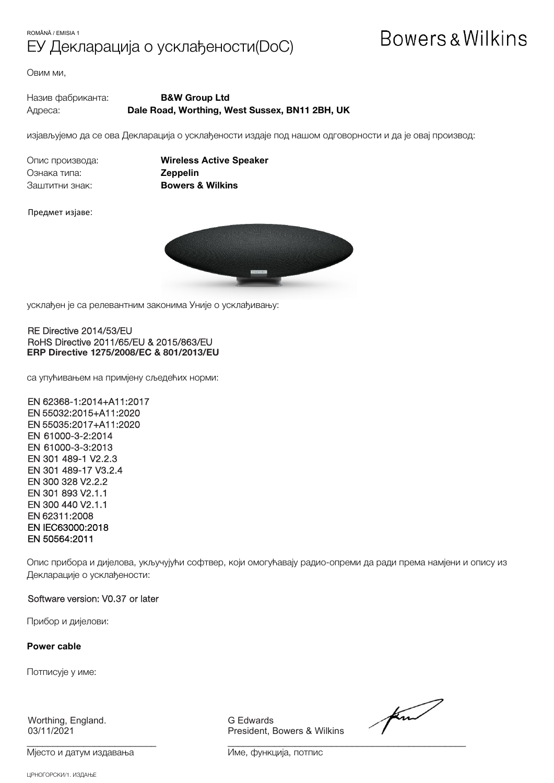### ROMÂNĂ / EMISIA 1 ЕУ Декларација о усклађености(DoC)

# **Bowers & Wilkins**

Овим ми,

Назив фабриканта: **B&W Group Ltd** Адреса: **Dale Road, Worthing, West Sussex, BN11 2BH, UK**

изјављујемо да се ова Декларација о усклађености издаје под нашом одговорности и да је овај производ:

Ознака типа: **Zeppelin** Заштитни знак: **Bowers & Wilkins**

Опис производа: **Wireless Active Speaker**

Предмет изјаве:



усклађен је са релевантним законима Уније о усклађивању:

#### RE Directive 2014/53/EU RoHS Directive 2011/65/EU & 2015/863/EU **ERP Directive 1275/2008/EC & 801/2013/EU**

са упућивањем на примјену сљедећих норми:

EN 62368-1:2014+A11:2017 EN 55032:2015+A11:2020 EN 55035:2017+A11:2020 EN 61000-3-2:2014 EN 61000-3-3:2013 EN 301 489-1 V2.2.3 EN 301 489-17 V3.2.4 EN 300 328 V2.2.2 EN 301 893 V2.1.1 EN 300 440 V2.1.1 EN 62311:2008 EN IEC63000:2018 EN 50564:2011

Опис прибора и дијелова, укључујући софтвер, који омогућавају радио-опреми да ради према намјени и опису из Декларације о усклађености:

#### Software version: V0.37 or later

Прибор и дијелови:

**Power cable**

Потписује у име:

Worthing, England. G Edwards

Мјесто и датум издавања и поведања Име, функција, потпис

President, Bowers & Wilkins

find

\_\_\_\_\_\_\_\_\_\_\_\_\_\_\_\_\_\_\_\_\_\_\_\_\_ \_\_\_\_\_\_\_\_\_\_\_\_\_\_\_\_\_\_\_\_\_\_\_\_\_\_\_\_\_\_\_\_\_\_\_\_\_\_\_\_\_\_\_\_\_\_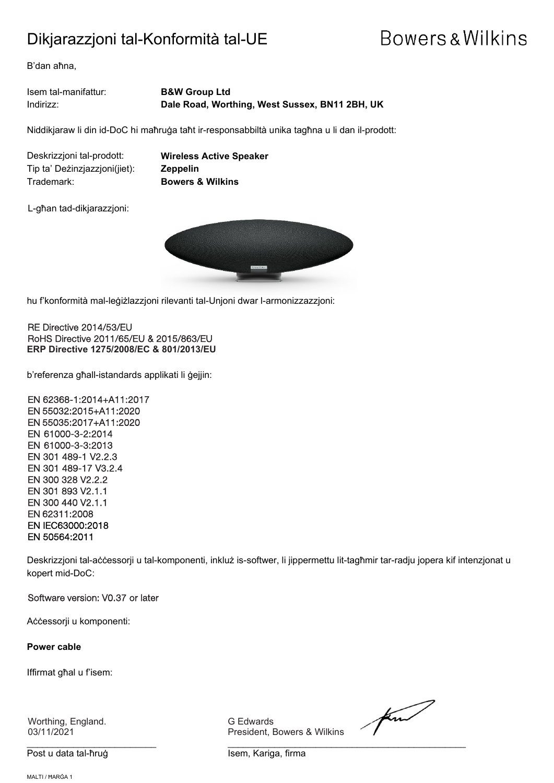### Dikjarazzjoni tal-Konformità tal-UE

# Bowers & Wilkins

B'dan aħna,

Isem tal-manifattur: **B&W Group Ltd** Indirizz: **Dale Road, Worthing, West Sussex, BN11 2BH, UK**

Niddikjaraw li din id-DoC hi maħruġa taħt ir-responsabbiltà unika tagħna u li dan il-prodott:

Deskrizzjoni tal-prodott: **Wireless Active Speaker** Tip ta' Deżinzjazzjoni(jiet): **Zeppelin** Trademark: **Bowers & Wilkins**

L-għan tad-dikjarazzjoni:



 $\overline{a}$ hu f'konformità mal-leġiżlazzjoni rilevanti tal-Unjoni dwar l-armonizzazzjoni:

RE Directive 2014/53/EU RoHS Directive 2011/65/EU & 2015/863/EU **ERP Directive 1275/2008/EC & 801/2013/EU**

b'referenza għall-istandards applikati li ġejjin:

EN 62368-1:2014+A11:2017 EN 55032:2015+A11:2020 EN 55035:2017+A11:2020 EN 61000-3-2:2014 EN 61000-3-3:2013 EN 301 489-1 V2.2.3 EN 301 489-17 V3.2.4 EN 300 328 V2.2.2 EN 301 893 V2.1.1 EN 300 440 V2.1.1 EN 62311:2008 EN IEC63000:2018 EN 50564:2011

Deskrizzjoni tal-aċċessorji u tal-komponenti, inkluż is-softwer, li jippermettu lit-tagħmir tar-radju jopera kif intenzjonat u kopert mid-DoC:

Software version: V0.37 or later

Aċċessorji u komponenti:

**Power cable**

Iffirmat għal u f'isem:

Worthing, England. G Edwards

Post u data tal-ħruġ Isem, Kariga, firma

President, Bowers & Wilkins

for

\_\_\_\_\_\_\_\_\_\_\_\_\_\_\_\_\_\_\_\_\_\_\_\_\_ \_\_\_\_\_\_\_\_\_\_\_\_\_\_\_\_\_\_\_\_\_\_\_\_\_\_\_\_\_\_\_\_\_\_\_\_\_\_\_\_\_\_\_\_\_\_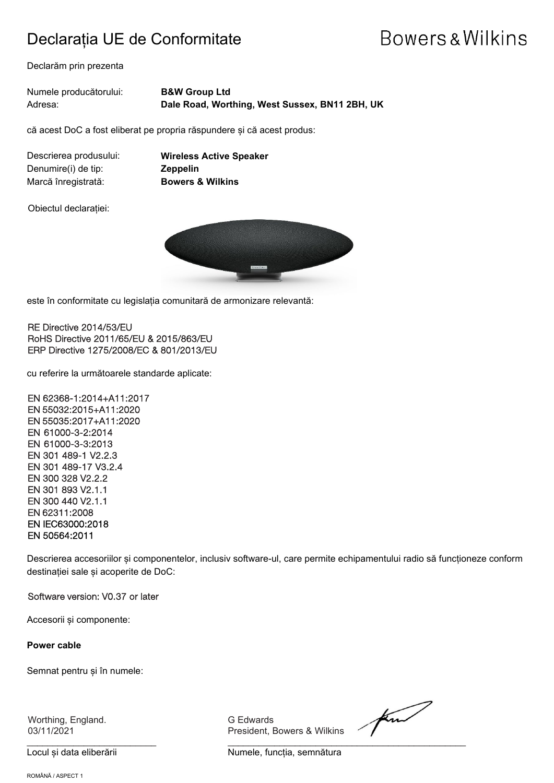### Declarația UE de Conformitate

## Bowers & Wilkins

Declarăm prin prezenta

Numele producătorului: **B&W Group Ltd** Adresa: **Dale Road, Worthing, West Sussex, BN11 2BH, UK**

că acest DoC a fost eliberat pe propria răspundere și că acest produs:

Denumire(i) de tip: **Zeppelin** Marcă înregistrată: **Bowers & Wilkins**

Descrierea produsului: **Wireless Active Speaker**

Obiectul declarației:



este în conformitate cu legislația comunitară de armonizare relevantă:

RE Directive 2014/53/EU RoHS Directive 2011/65/EU & 2015/863/EU ERP Directive 1275/2008/EC & 801/2013/EU

cu referire la următoarele standarde aplicate:

EN 62368-1:2014+A11:2017 EN 55032:2015+A11:2020 EN 55035:2017+A11:2020 EN 61000-3-2:2014 EN 61000-3-3:2013 EN 301 489-1 V2.2.3 EN 301 489-17 V3.2.4 EN 300 328 V2.2.2 EN 301 893 V2.1.1 EN 300 440 V2.1.1 EN 62311:2008 EN IEC63000:2018 EN 50564:2011

Descrierea accesoriilor și componentelor, inclusiv software-ul, care permite echipamentului radio să funcționeze conform destinației sale și acoperite de DoC:

#### Software version: V0.37 or later

Accesorii și componente:

**Power cable**

Semnat pentru și în numele:

Worthing, England. G Edwards

\_\_\_\_\_\_\_\_\_\_\_\_\_\_\_\_\_\_\_\_\_\_\_\_\_ \_\_\_\_\_\_\_\_\_\_\_\_\_\_\_\_\_\_\_\_\_\_\_\_\_\_\_\_\_\_\_\_\_\_\_\_\_\_\_\_\_\_\_\_\_\_

03/11/2021 President, Bowers & Wilkins

for

Locul și data eliberării electronic reformatura Numele, funcția, semnătura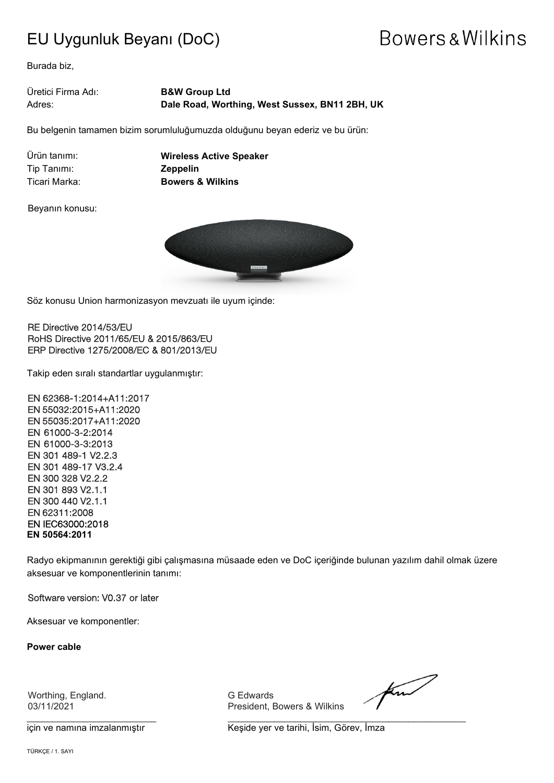### EU Uygunluk Beyanı (DoC)

## **Bowers & Wilkins**

Burada biz,

Üretici Firma Adı: **B&W Group Ltd** Adres: **Dale Road, Worthing, West Sussex, BN11 2BH, UK**

Bu belgenin tamamen bizim sorumluluğumuzda olduğunu beyan ederiz ve bu ürün:

Tip Tanımı: **Zeppelin**

Ürün tanımı: **Wireless Active Speaker** Ticari Marka: **Bowers & Wilkins**

Beyanın konusu:



 $\overline{a}$ Söz konusu Union harmonizasyon mevzuatı ile uyum içinde:

RE Directive 2014/53/EU RoHS Directive 2011/65/EU & 2015/863/EU ERP Directive 1275/2008/EC & 801/2013/EU

Takip eden sıralı standartlar uygulanmıştır:

EN 62368-1:2014+A11:2017 EN 55032:2015+A11:2020 EN 55035:2017+A11:2020 EN 61000-3-2:2014 EN 61000-3-3:2013 EN 301 489-1 V2.2.3 EN 301 489-17 V3.2.4 EN 300 328 V2.2.2 EN 301 893 V2.1.1 EN 300 440 V2.1.1 EN 62311:2008 EN IEC63000:2018 **EN 50564:2011**

Radyo ekipmanının gerektiği gibi çalışmasına müsaade eden ve DoC içeriğinde bulunan yazılım dahil olmak üzere aksesuar ve komponentlerinin tanımı:

Software version: V0.37 or later

Aksesuar ve komponentler:

**Power cable**

Worthing, England. G Edwards

President, Bowers & Wilkins

 $\frac{1}{2}$  , and the set of the set of the set of the set of the set of the set of the set of the set of the set of the set of the set of the set of the set of the set of the set of the set of the set of the set of the set

for

için ve namına imzalanmıştır **Keşide yer ve tarihi, İsim, Görev, İmza**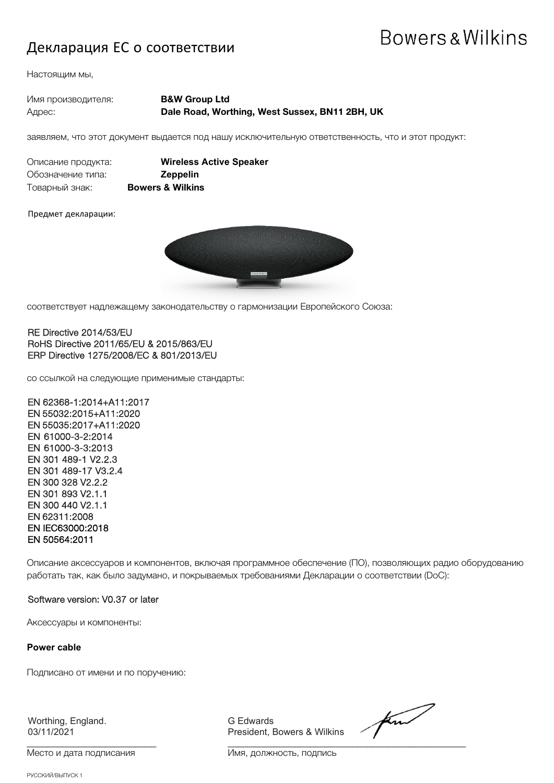### Декларация ЕС о соответствии

## Bowers & Wilkins

Настоящим мы,

| Имя производителя: | <b>B&amp;W Group Ltd</b>                       |
|--------------------|------------------------------------------------|
| Адрес:             | Dale Road, Worthing, West Sussex, BN11 2BH, UK |

заявляем, что этот документ выдается под нашу исключительную ответственность, что и этот продукт:

| Описание продукта:<br>Обозначение типа: |              |
|-----------------------------------------|--------------|
| Товарный знак:                          | <b>Bower</b> |

**Wireless Active Speaker** Обозначение типа: **Zeppelin** rs & Wilkins

Предмет декларации:



соответствует надлежащему законодательству о гармонизации Европейского Союза:

#### RE Directive 2014/53/EU RoHS Directive 2011/65/EU & 2015/863/EU ERP Directive 1275/2008/EC & 801/2013/EU

со ссылкой на следующие применимые стандарты:

EN 62368-1:2014+A11:2017 EN 55032:2015+A11:2020 EN 55035:2017+A11:2020 EN 61000-3-2:2014 EN 61000-3-3:2013 EN 301 489-1 V2.2.3 EN 301 489-17 V3.2.4 EN 300 328 V2.2.2 EN 301 893 V2.1.1 EN 300 440 V2.1.1 EN 62311:2008 EN IEC63000:2018 EN 50564:2011

Описание аксессуаров и компонентов, включая программное обеспечение (ПО), позволяющих радио оборудованию работать так, как было задумано, и покрываемых требованиями Декларации о соответствии (DoC):

#### Software version: V0.37 or later

Аксессуары и компоненты:

**Power cable**

Подписано от имени и по поручению:

Worthing, England. G Edwards

 $\frac{1}{2}$  , and the set of the set of the set of the set of the set of the set of the set of the set of the set of the set of the set of the set of the set of the set of the set of the set of the set of the set of the set

President, Bowers & Wilkins

find

Место и дата подписания и поставления Имя, должность, подпись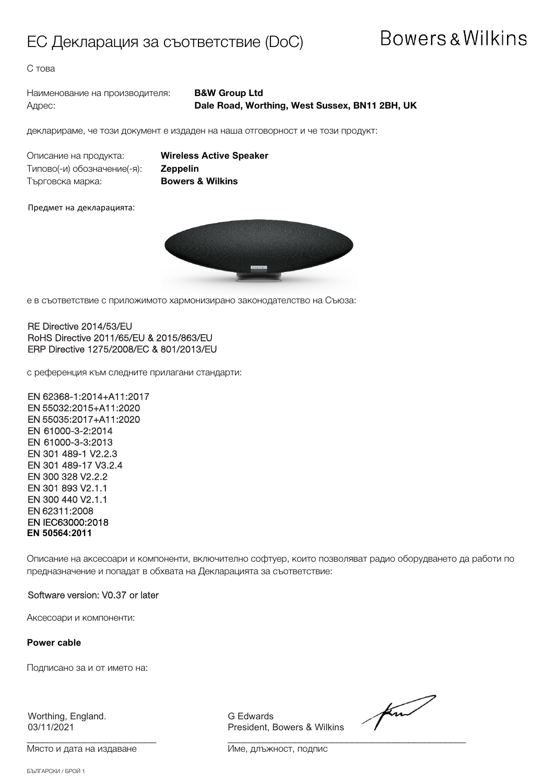### ЕС Декларация за съответствие (DoC)

### Bowers & Wilkins

С това

Наименование на производителя: **B&W Group Ltd**

# Адрес: **Dale Road, Worthing, West Sussex, BN11 2BH, UK**

декларираме, че този документ е издаден на наша отговорност и че този продукт:

Описание на продукта: **Wireless Active Speaker** Типово(-и) обозначение(-я): **Zeppelin** Търговска марка: **Bowers & Wilkins** 

Предмет на декларацията:



е в съответствие с приложимото хармонизирано законодателство на Съюза:

#### RE Directive 2014/53/EU RoHS Directive 2011/65/EU & 2015/863/EU ERP Directive 1275/2008/EC & 801/2013/EU

с референция към следните прилагани стандарти:

EN 62368-1:2014+A11:2017 EN 55032:2015+A11:2020 EN 55035:2017+A11:2020 EN 61000-3-2:2014 EN 61000-3-3:2013 EN 301 489-1 V2.2.3 EN 301 489-17 V3.2.4 EN 300 328 V2.2.2 EN 301 893 V2.1.1 EN 300 440 V2.1.1 EN 62311:2008 EN IEC63000:2018 **EN 50564:2011**

Описание на аксесоари и компоненти, включително софтуер, които позволяват радио оборудването да работи по предназначение и попадат в обхвата на Декларацията за съответствие:

#### Software version: V0.37 or later

Аксесоари и компоненти:

**Power cable**

Подписано за и от името на:

Worthing, England. G Edwards<br>03/11/2021 The Control of President, I

President, Bowers & Wilkins

for

 $\frac{1}{2}$  , and the set of the set of the set of the set of the set of the set of the set of the set of the set of the set of the set of the set of the set of the set of the set of the set of the set of the set of the set Място и дата на издаване Име, длъжност, подпис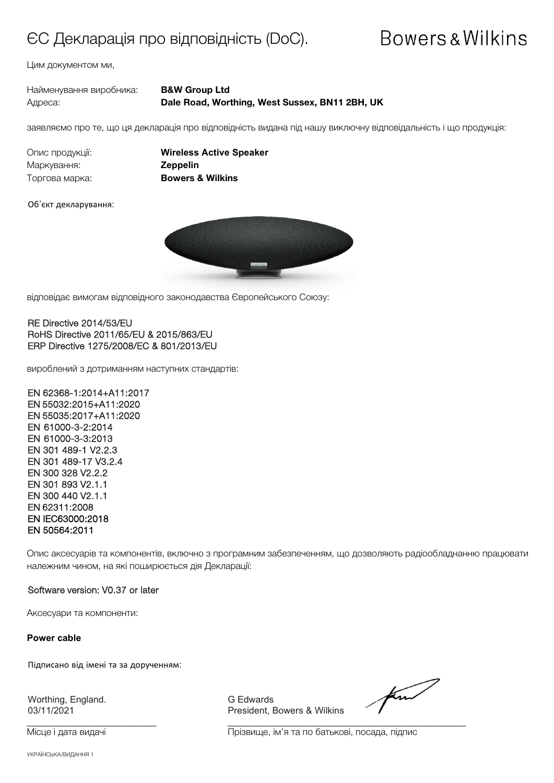### ЄС Декларація про відповідність (DoC).

## Bowers & Wilkins

Цим документом ми,

| Найменування виробника: | <b>B&amp;W Group Ltd</b>                       |
|-------------------------|------------------------------------------------|
| Адреса:                 | Dale Road, Worthing, West Sussex, BN11 2BH, UK |

заявляємо про те, що ця декларація про відповідність видана під нашу виключну відповідальність і що продукція:

Маркування: **Zeppelin** Торгова марка: **Bowers & Wilkins**

Опис продукції: **Wireless Active Speaker**

#### Об'єкт декларування:



відповідає вимогам відповідного законодавства Європейського Союзу:

#### RE Directive 2014/53/EU RoHS Directive 2011/65/EU & 2015/863/EU ERP Directive 1275/2008/EC & 801/2013/EU

вироблений з дотриманням наступних стандартів:

EN 62368-1:2014+A11:2017 EN 55032:2015+A11:2020 EN 55035:2017+A11:2020 EN 61000-3-2:2014 EN 61000-3-3:2013 EN 301 489-1 V2.2.3 EN 301 489-17 V3.2.4 EN 300 328 V2.2.2 EN 301 893 V2.1.1 EN 300 440 V2.1.1 EN 62311:2008 EN IEC63000:2018 EN 50564:2011

Опис аксесуарів та компонентів, включно з програмним забезпеченням, що дозволяють радіообладнанню працювати належним чином, на які поширюється дія Декларації:

#### Software version: V0.37 or later

Аксесуари та компоненти:

**Power cable**

Підписано від імені та за дорученням:

Worthing, England. Communication of Edwards<br>03/11/2021 Communication of President. E

President, Bowers & Wilkins

 $\frac{1}{2}$  , and the set of the set of the set of the set of the set of the set of the set of the set of the set of the set of the set of the set of the set of the set of the set of the set of the set of the set of the set

find

Місце і дата видачі Прізвище, ім'я та по батькові, посада, підпис